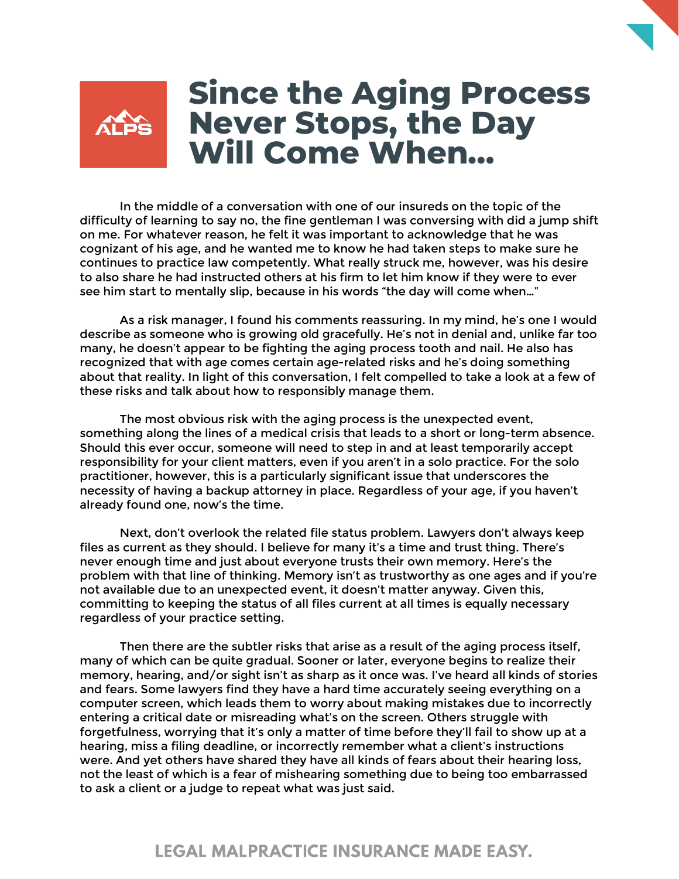

## **Since the Aging Process Never Stops, the Day Will Come When…**

In the middle of a conversation with one of our insureds on the topic of the difficulty of learning to say no, the fine gentleman I was conversing with did a jump shift on me. For whatever reason, he felt it was important to acknowledge that he was cognizant of his age, and he wanted me to know he had taken steps to make sure he continues to practice law competently. What really struck me, however, was his desire to also share he had instructed others at his firm to let him know if they were to ever see him start to mentally slip, because in his words "the day will come when…"

As a risk manager, I found his comments reassuring. In my mind, he's one I would describe as someone who is growing old gracefully. He's not in denial and, unlike far too many, he doesn't appear to be fighting the aging process tooth and nail. He also has recognized that with age comes certain age-related risks and he's doing something about that reality. In light of this conversation, I felt compelled to take a look at a few of these risks and talk about how to responsibly manage them.

The most obvious risk with the aging process is the unexpected event, something along the lines of a medical crisis that leads to a short or long-term absence. Should this ever occur, someone will need to step in and at least temporarily accept responsibility for your client matters, even if you aren't in a solo practice. For the solo practitioner, however, this is a particularly significant issue that underscores the necessity of having a backup attorney in place. Regardless of your age, if you haven't already found one, now's the time.

Next, don't overlook the related file status problem. Lawyers don't always keep files as current as they should. I believe for many it's a time and trust thing. There's never enough time and just about everyone trusts their own memory. Here's the problem with that line of thinking. Memory isn't as trustworthy as one ages and if you're not available due to an unexpected event, it doesn't matter anyway. Given this, committing to keeping the status of all files current at all times is equally necessary regardless of your practice setting.

Then there are the subtler risks that arise as a result of the aging process itself, many of which can be quite gradual. Sooner or later, everyone begins to realize their memory, hearing, and/or sight isn't as sharp as it once was. I've heard all kinds of stories and fears. Some lawyers find they have a hard time accurately seeing everything on a computer screen, which leads them to worry about making mistakes due to incorrectly entering a critical date or misreading what's on the screen. Others struggle with forgetfulness, worrying that it's only a matter of time before they'll fail to show up at a hearing, miss a filing deadline, or incorrectly remember what a client's instructions were. And yet others have shared they have all kinds of fears about their hearing loss, not the least of which is a fear of mishearing something due to being too embarrassed to ask a client or a judge to repeat what was just said.

## **LEGAL MALPRACTICE INSURANCE MADE EASY.**